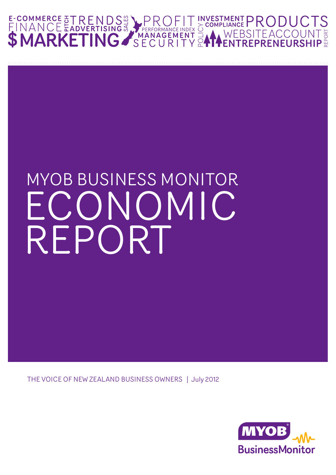

### MYOB BUSINESS MONITOR ECONOMIC REPORT

THE VOICE OF NEW ZEALAND BUSINESS OWNERS | July 2012

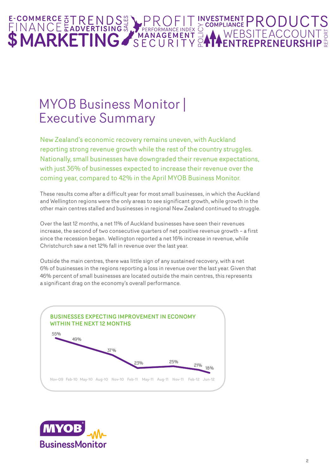### E-COMMERCE &TRENDS REREORMANCE INDEX & COMPLIANCE PRODUCT

### MYOB Business Monitor | Executive Summary

New Zealand's economic recovery remains uneven, with Auckland reporting strong revenue growth while the rest of the country struggles. Nationally, small businesses have downgraded their revenue expectations, with just 36% of businesses expected to increase their revenue over the coming year, compared to 42% in the April MYOB Business Monitor.

These results come after a difficult year for most small businesses, in which the Auckland and Wellington regions were the only areas to see significant growth, while growth in the other main centres stalled and businesses in regional New Zealand continued to struggle.

Over the last 12 months, a net 11% of Auckland businesses have seen their revenues increase, the second of two consecutive quarters of net positive revenue growth – a first since the recession began. Wellington reported a net 16% increase in revenue, while Christchurch saw a net 12% fall in revenue over the last year.

Outside the main centres, there was little sign of any sustained recovery, with a net 6% of businesses in the regions reporting a loss in revenue over the last year. Given that 46% percent of small businesses are located outside the main centres, this represents a significant drag on the economy's overall performance.



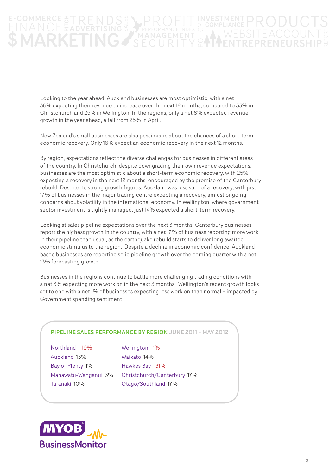### FPERFORMANCE INDEX<br>MANAGEMENT<br>CILPITV ET TEACCOUNT NG. **ARKF**

Looking to the year ahead, Auckland businesses are most optimistic, with a net 36% expecting their revenue to increase over the next 12 months, compared to 33% in Christchurch and 25% in Wellington. In the regions, only a net 8% expected revenue growth in the year ahead, a fall from 25% in April.

New Zealand's small businesses are also pessimistic about the chances of a short-term economic recovery. Only 18% expect an economic recovery in the next 12 months.

By region, expectations reflect the diverse challenges for businesses in different areas of the country. In Christchurch, despite downgrading their own revenue expectations, businesses are the most optimistic about a short-term economic recovery, with 25% expecting a recovery in the next 12 months, encouraged by the promise of the Canterbury rebuild. Despite its strong growth figures, Auckland was less sure of a recovery, with just 17% of businesses in the major trading centre expecting a recovery, amidst ongoing concerns about volatility in the international economy. In Wellington, where government sector investment is tightly managed, just 14% expected a short-term recovery.

Looking at sales pipeline expectations over the next 3 months, Canterbury businesses report the highest growth in the country, with a net 17% of business reporting more work in their pipeline than usual, as the earthquake rebuild starts to deliver long awaited economic stimulus to the region. Despite a decline in economic confidence, Auckland based businesses are reporting solid pipeline growth over the coming quarter with a net 13% forecasting growth.

Businesses in the regions continue to battle more challenging trading conditions with a net 3% expecting more work on in the next 3 months. Wellington's recent growth looks set to end with a net 1% of businesses expecting less work on than normal – impacted by Government spending sentiment.

#### PIPELINE SALES PERFORMANCE BY REGION JUNE 2011 – MAY 2012

Northland -19% Auckland 13% Bay of Plenty 1% Manawatu-Wanganui 3% Taranaki 10%

Wellington -1% Waikato 14% Hawkes Bay -31% Christchurch/Canterbury 17% Otago/Southland 17%

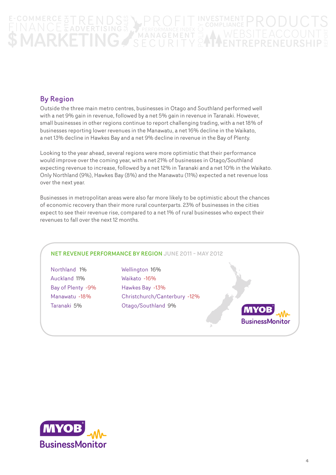### ANCEEAN EF RUDUU 1 3<br>BSITEACCOUNT 3<br>'PEPPENELIPSHIP : THERED ENDEX NG 7

### By Region

Outside the three main metro centres, businesses in Otago and Southland performed well with a net 9% gain in revenue, followed by a net 5% gain in revenue in Taranaki. However, small businesses in other regions continue to report challenging trading, with a net 18% of businesses reporting lower revenues in the Manawatu, a net 16% decline in the Waikato, a net 13% decline in Hawkes Bay and a net 9% decline in revenue in the Bay of Plenty.

Looking to the year ahead, several regions were more optimistic that their performance would improve over the coming year, with a net 21% of businesses in Otago/Southland expecting revenue to increase, followed by a net 12% in Taranaki and a net 10% in the Waikato. Only Northland (9%), Hawkes Bay (8%) and the Manawatu (11%) expected a net revenue loss over the next year.

Businesses in metropolitan areas were also far more likely to be optimistic about the chances of economic recovery than their more rural counterparts. 23% of businesses in the cities expect to see their revenue rise, compared to a net 1% of rural businesses who expect their revenues to fall over the next 12 months.

#### NET REVENUE PERFORMANCE BY REGION JUNE 2011 – MAY 2012

Northland 1% Auckland 11% Bay of Plenty -9% Manawatu -18% Taranaki 5%

Wellington 16% Waikato -16% Hawkes Bay -13% Christchurch/Canterbury -12% Otago/Southland 9%



**BusinessMonitor**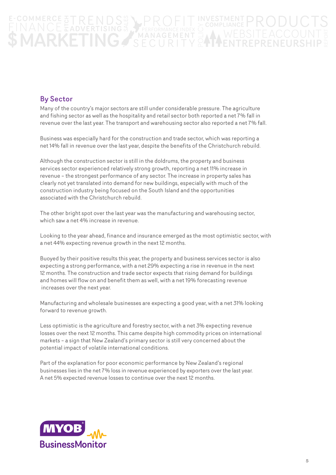### FREFORMANCE INDEX SITE<br>Pedd **NGZ** ARKF

### By Sector

Many of the country's major sectors are still under considerable pressure. The agriculture and fishing sector as well as the hospitality and retail sector both reported a net 7% fall in revenue over the last year. The transport and warehousing sector also reported a net 7% fall.

Business was especially hard for the construction and trade sector, which was reporting a net 14% fall in revenue over the last year, despite the benefits of the Christchurch rebuild.

Although the construction sector is still in the doldrums, the property and business services sector experienced relatively strong growth, reporting a net 11% increase in revenue – the strongest performance of any sector. The increase in property sales has clearly not yet translated into demand for new buildings, especially with much of the construction industry being focused on the South Island and the opportunities associated with the Christchurch rebuild.

The other bright spot over the last year was the manufacturing and warehousing sector, which saw a net 4% increase in revenue.

Looking to the year ahead, finance and insurance emerged as the most optimistic sector, with a net 44% expecting revenue growth in the next 12 months.

Buoyed by their positive results this year, the property and business services sector is also expecting a strong performance, with a net 29% expecting a rise in revenue in the next 12 months. The construction and trade sector expects that rising demand for buildings and homes will flow on and benefit them as well, with a net 19% forecasting revenue increases over the next year.

Manufacturing and wholesale businesses are expecting a good year, with a net 31% looking forward to revenue growth.

Less optimistic is the agriculture and forestry sector, with a net 3% expecting revenue losses over the next 12 months. This came despite high commodity prices on international markets – a sign that New Zealand's primary sector is still very concerned about the potential impact of volatile international conditions.

Part of the explanation for poor economic performance by New Zealand's regional businesses lies in the net 7% loss in revenue experienced by exporters over the last year. A net 5% expected revenue losses to continue over the next 12 months.

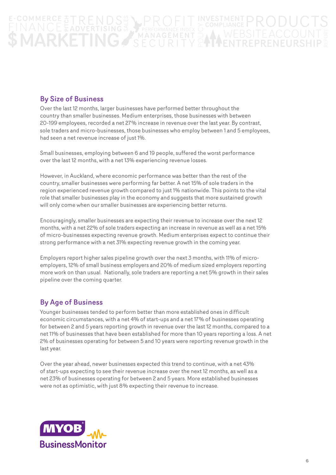### SPERFORMANCE INDEX ET TEACCOUNT TING/ IARKF

### By Size of Business

Over the last 12 months, larger businesses have performed better throughout the country than smaller businesses. Medium enterprises, those businesses with between 20-199 employees, recorded a net 27% increase in revenue over the last year. By contrast, sole traders and micro-businesses, those businesses who employ between 1 and 5 employees, had seen a net revenue increase of just 1%.

Small businesses, employing between 6 and 19 people, suffered the worst performance over the last 12 months, with a net 13% experiencing revenue losses.

However, in Auckland, where economic performance was better than the rest of the country, smaller businesses were performing far better. A net 15% of sole traders in the region experienced revenue growth compared to just 1% nationwide. This points to the vital role that smaller businesses play in the economy and suggests that more sustained growth will only come when our smaller businesses are experiencing better returns.

Encouragingly, smaller businesses are expecting their revenue to increase over the next 12 months, with a net 22% of sole traders expecting an increase in revenue as well as a net 15% of micro-businesses expecting revenue growth. Medium enterprises expect to continue their strong performance with a net 31% expecting revenue growth in the coming year.

Employers report higher sales pipeline growth over the next 3 months, with 11% of microemployers, 12% of small business employers and 20% of medium sized employers reporting more work on than usual. Nationally, sole traders are reporting a net 5% growth in their sales pipeline over the coming quarter.

### By Age of Business

Younger businesses tended to perform better than more established ones in difficult economic circumstances, with a net 4% of start-ups and a net 17% of businesses operating for between 2 and 5 years reporting growth in revenue over the last 12 months, compared to a net 11% of businesses that have been established for more than 10 years reporting a loss. A net 2% of businesses operating for between 5 and 10 years were reporting revenue growth in the last year.

Over the year ahead, newer businesses expected this trend to continue, with a net 43% of start-ups expecting to see their revenue increase over the next 12 months, as well as a net 23% of businesses operating for between 2 and 5 years. More established businesses were not as optimistic, with just 8% expecting their revenue to increase.

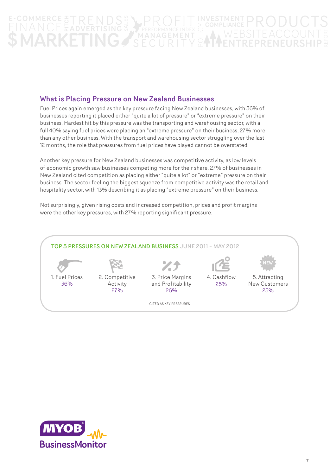# S PERFORMANCE INDEX<br>MANAGEMENT

### What is Placing Pressure on New Zealand Businesses

Fuel Prices again emerged as the key pressure facing New Zealand businesses, with 36% of businesses reporting it placed either "quite a lot of pressure" or "extreme pressure" on their business. Hardest hit by this pressure was the transporting and warehousing sector, with a full 40% saying fuel prices were placing an "extreme pressure" on their business, 27% more than any other business. With the transport and warehousing sector struggling over the last 12 months, the role that pressures from fuel prices have played cannot be overstated.

Another key pressure for New Zealand businesses was competitive activity, as low levels of economic growth saw businesses competing more for their share. 27% of businesses in New Zealand cited competition as placing either "quite a lot" or "extreme" pressure on their business. The sector feeling the biggest squeeze from competitive activity was the retail and hospitality sector, with 13% describing it as placing "extreme pressure" on their business.

Not surprisingly, given rising costs and increased competition, prices and profit margins were the other key pressures, with 27% reporting significant pressure.



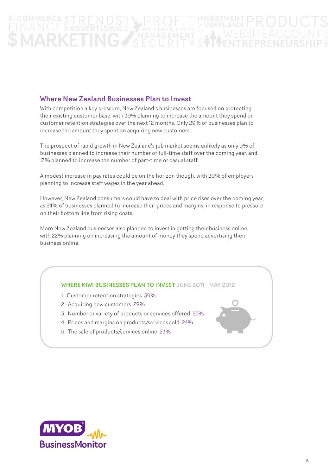# SPERFORMANCE INDEX

### Where New Zealand Businesses Plan to Invest

With competition a key pressure, New Zealand's businesses are focused on protecting their existing customer base, with 39% planning to increase the amount they spend on customer retention strategies over the next 12 months. Only 29% of businesses plan to increase the amount they spent on acquiring new customers.

The prospect of rapid growth in New Zealand's job market seems unlikely as only 9% of businesses planned to increase their number of full-time staff over the coming year, and 17% planned to increase the number of part-time or casual staff.

A modest increase in pay rates could be on the horizon though, with 20% of employers planning to increase staff wages in the year ahead.

However, New Zealand consumers could have to deal with price rises over the coming year, as 24% of businesses planned to increase their prices and margins, in response to pressure on their bottom line from rising costs.

More New Zealand businesses also planned to invest in getting their business online, with 22% planning on increasing the amount of money they spend advertising their business online.

#### WHERE KIWI BUSINESSES PLAN TO INVEST JUNE 2011 - MAY 2012

- 1. Customer retention strategies 39%
- 2. Acquiring new customers 29%
- 3. Number or variety of products or services offered 25%
- 4. Prices and margins on products/services sold 24%
- 5. The sale of products/services online 23%



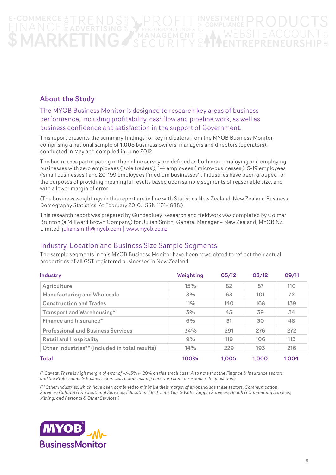# SPERFORMANCE INDEX

### About the Study

### The MYOB Business Monitor is designed to research key areas of business performance, including profitability, cashflow and pipeline work, as well as business confidence and satisfaction in the support of Government.

This report presents the summary findings for key indicators from the MYOB Business Monitor comprising a national sample of 1,005 business owners, managers and directors (operators), conducted in May and compiled in June 2012.

The businesses participating in the online survey are defined as both non-employing and employing businesses with zero employees ('sole traders'), 1-4 employees ('micro-businesses'), 5-19 employees ('small businesses') and 20-199 employees ('medium businesses'). Industries have been grouped for the purposes of providing meaningful results based upon sample segments of reasonable size, and with a lower margin of error.

(The business weightings in this report are in line with Statistics New Zealand: New Zealand Business Demography Statistics: At February 2010: ISSN 1174-1988.)

This research report was prepared by Gundabluey Research and fieldwork was completed by Colmar Brunton (a Millward Brown Company) for Julian Smith, General Manager – New Zealand, MYOB NZ Limited julian.smith@myob.com | www.myob.co.nz

### Industry, Location and Business Size Sample Segments

The sample segments in this MYOB Business Monitor have been reweighted to reflect their actual proportions of all GST registered businesses in New Zealand.

| Industry                                       | Weighting | 05/12 | 03/12 | 09/11 |
|------------------------------------------------|-----------|-------|-------|-------|
| Agriculture                                    | 15%       | 82    | 87    | 110   |
| Manufacturing and Wholesale                    | 8%        | 68    | 101   | 72    |
| <b>Construction and Trades</b>                 | $11\%$    | 140   | 168   | 139   |
| Transport and Warehousing*                     | 3%        | 45    | 39    | 34    |
| Finance and Insurance*                         | 6%        | 31    | 30    | 48    |
| <b>Professional and Business Services</b>      | 34%       | 291   | 276   | 272   |
| <b>Retail and Hospitality</b>                  | 9%        | 119   | 106   | 113   |
| Other Industries** (included in total results) | 14%       | 229   | 193   | 216   |
| Total                                          | 100%      | 1.005 | 1.000 | 1.004 |

#### *(\* Caveat: There is high margin of error of +/-15% @ 20% on this small base. Also note that the Finance & Insurance sectors and the Professional & Business Services sectors usually have very similar responses to questions.)*

*(\*\*Other Industries, which have been combined to minimise their margin of error, include these sectors: Communication Services; Cultural & Recreational Services; Education; Electricity, Gas & Water Supply Services; Health & Community Services; Mining; and Personal & Other Services.)*

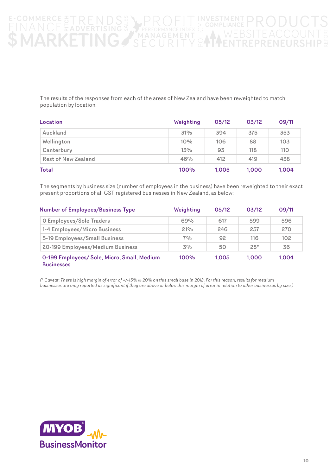### REACCOUNT &<br>Feaccount &<br>Renelirship & **FERFORMANCE INDEX**  $\mathbf{C}$

The results of the responses from each of the areas of New Zealand have been reweighted to match population by location.

| Location                   | Weighting | 05/12 | 03/12 | 09/11 |
|----------------------------|-----------|-------|-------|-------|
| Auckland                   | 31%       | 394   | 375   | 353   |
| Wellington                 | 10%       | 106   | 88    | 103   |
| Canterbury                 | 13%       | 93    | 118   | 110   |
| <b>Rest of New Zealand</b> | 46%       | 412   | 419   | 438   |
| Total                      | 100%      | 1,005 | 1.000 | 1,004 |

The segments by business size (number of employees in the business) have been reweighted to their exact present proportions of all GST registered businesses in New Zealand, as below:

| <b>Number of Employees/Business Type</b>                         | Weighting | 05/12 | 03/12 | 09/11 |
|------------------------------------------------------------------|-----------|-------|-------|-------|
| <b>O Employees/Sole Traders</b>                                  | 69%       | 617   | 599   | 596   |
| 1-4 Employees/Micro Business                                     | 21%       | 246   | 257   | 270   |
| 5-19 Employees/Small Business                                    | 7%        | 92    | 116   | 102   |
| 20-199 Employees/Medium Business                                 | 3%        | 50    | $28*$ | 36    |
| 0-199 Employees/ Sole, Micro, Small, Medium<br><b>Businesses</b> | 100%      | 1.005 | 1.000 | 1.004 |

*(\* Caveat: There is high margin of error of +/-15% @ 20% on this small base in 2012. For this reason, results for medium businesses are only reported as significant if they are above or below this margin of error in relation to other businesses by size.)*